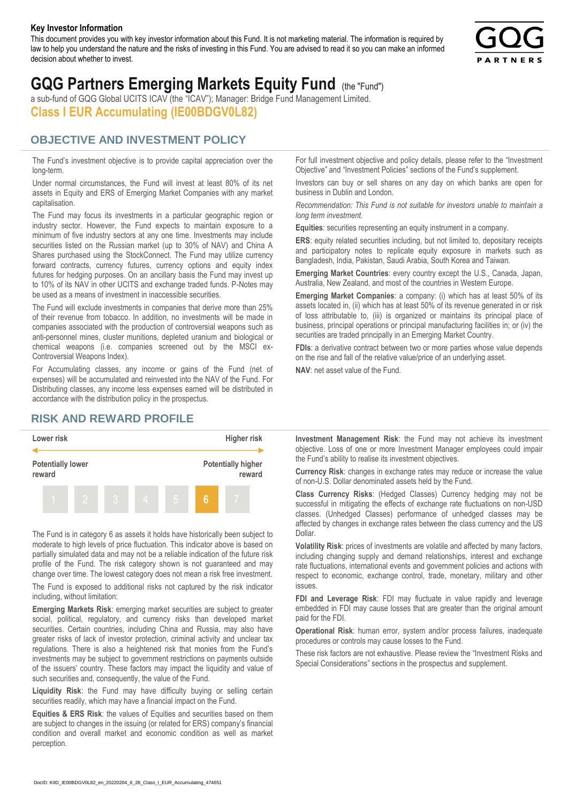#### **Key Investor Information**

This document provides you with key investor information about this Fund. It is not marketing material. The information is required by law to help you understand the nature and the risks of investing in this Fund. You are advised to read it so you can make an informed decision about whether to invest.



# **GQG Partners Emerging Markets Equity Fund** (the "Fund")

a sub-fund of GQG Global UCITS ICAV (the "ICAV"); Manager: Bridge Fund Management Limited. **Class I EUR Accumulating (IE00BDGV0L82)**

#### **OBJECTIVE AND INVESTMENT POLICY**

The Fund's investment objective is to provide capital appreciation over the long-term.

Under normal circumstances, the Fund will invest at least 80% of its net assets in Equity and ERS of Emerging Market Companies with any market capitalisation.

The Fund may focus its investments in a particular geographic region or industry sector. However, the Fund expects to maintain exposure to a minimum of five industry sectors at any one time. Investments may include securities listed on the Russian market (up to 30% of NAV) and China A Shares purchased using the StockConnect. The Fund may utilize currency forward contracts, currency futures, currency options and equity index futures for hedging purposes. On an ancillary basis the Fund may invest up to 10% of its NAV in other UCITS and exchange traded funds. P-Notes may be used as a means of investment in inaccessible securities.

The Fund will exclude investments in companies that derive more than 25% of their revenue from tobacco. In addition, no investments will be made in companies associated with the production of controversial weapons such as anti-personnel mines, cluster munitions, depleted uranium and biological or chemical weapons (i.e. companies screened out by the MSCI ex-Controversial Weapons Index).

For Accumulating classes, any income or gains of the Fund (net of expenses) will be accumulated and reinvested into the NAV of the Fund. For Distributing classes, any income less expenses earned will be distributed in accordance with the distribution policy in the prospectus.

### **RISK AND REWARD PROFILE**



The Fund is in category 6 as assets it holds have historically been subject to moderate to high levels of price fluctuation. This indicator above is based on partially simulated data and may not be a reliable indication of the future risk profile of the Fund. The risk category shown is not guaranteed and may change over time. The lowest category does not mean a risk free investment.

The Fund is exposed to additional risks not captured by the risk indicator including, without limitation:

**Emerging Markets Risk**: emerging market securities are subject to greater social, political, regulatory, and currency risks than developed market securities. Certain countries, including China and Russia, may also have greater risks of lack of investor protection, criminal activity and unclear tax regulations. There is also a heightened risk that monies from the Fund's investments may be subject to government restrictions on payments outside of the issuers' country. These factors may impact the liquidity and value of such securities and, consequently, the value of the Fund.

**Liquidity Risk**: the Fund may have difficulty buying or selling certain securities readily, which may have a financial impact on the Fund.

**Equities & ERS Risk**: the values of Equities and securities based on them are subject to changes in the issuing (or related for ERS) company's financial condition and overall market and economic condition as well as market perception.

For full investment objective and policy details, please refer to the "Investment Objective" and "Investment Policies" sections of the Fund's supplement.

Investors can buy or sell shares on any day on which banks are open for business in Dublin and London.

*Recommendation: This Fund is not suitable for investors unable to maintain a long term investment.*

**Equities**: securities representing an equity instrument in a company.

**ERS:** equity related securities including, but not limited to, depositary receipts and participatory notes to replicate equity exposure in markets such as Bangladesh, India, Pakistan, Saudi Arabia, South Korea and Taiwan.

**Emerging Market Countries**: every country except the U.S., Canada, Japan, Australia, New Zealand, and most of the countries in Western Europe.

**Emerging Market Companies**: a company: (i) which has at least 50% of its assets located in, (ii) which has at least 50% of its revenue generated in or risk of loss attributable to, (iii) is organized or maintains its principal place of business, principal operations or principal manufacturing facilities in; or (iv) the securities are traded principally in an Emerging Market Country.

**FDIs**: a derivative contract between two or more parties whose value depends on the rise and fall of the relative value/price of an underlying asset.

**NAV**: net asset value of the Fund.

**Investment Management Risk**: the Fund may not achieve its investment objective. Loss of one or more Investment Manager employees could impair the Fund's ability to realise its investment objectives.

**Currency Risk**: changes in exchange rates may reduce or increase the value of non-U.S. Dollar denominated assets held by the Fund.

**Class Currency Risks**: (Hedged Classes) Currency hedging may not be successful in mitigating the effects of exchange rate fluctuations on non-USD classes. (Unhedged Classes) performance of unhedged classes may be affected by changes in exchange rates between the class currency and the US Dollar.

**Volatility Risk**: prices of investments are volatile and affected by many factors, including changing supply and demand relationships, interest and exchange rate fluctuations, international events and government policies and actions with respect to economic, exchange control, trade, monetary, military and other issues.

**FDI and Leverage Risk**: FDI may fluctuate in value rapidly and leverage embedded in FDI may cause losses that are greater than the original amount paid for the FDI.

**Operational Risk**: human error, system and/or process failures, inadequate procedures or controls may cause losses to the Fund.

These risk factors are not exhaustive. Please review the "Investment Risks and Special Considerations" sections in the prospectus and supplement.